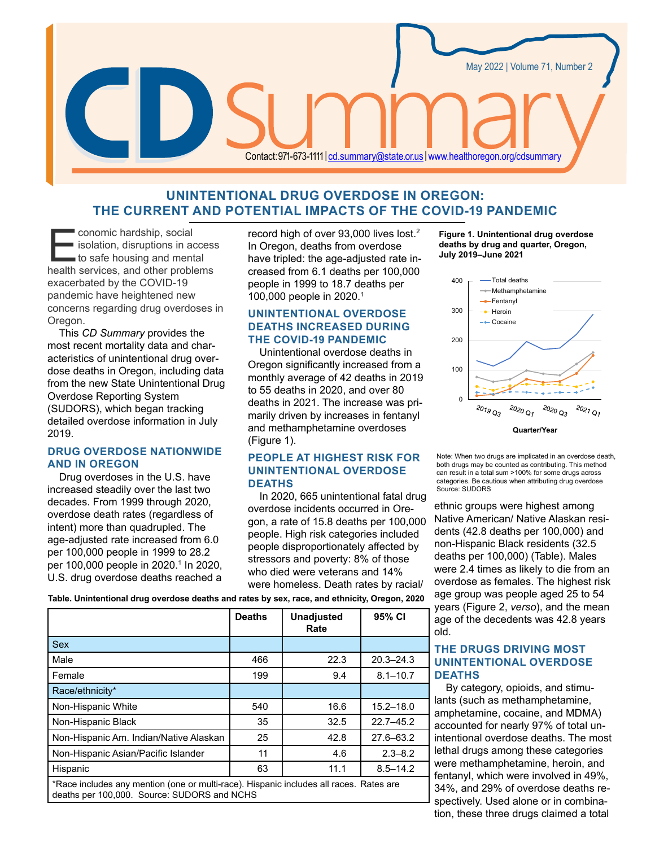

# **UNINTENTIONAL DRUG OVERDOSE IN OREGON: THE CURRENT AND POTENTIAL IMPACTS OF THE COVID-19 PANDEMIC**

conomic hardship, social<br>
isolation, disruptions in acce<br>
to safe housing and mental<br>
health services and other problem **I** isolation, disruptions in access health services, and other problems exacerbated by the COVID-19 pandemic have heightened new concerns regarding drug overdoses in Oregon.

This *CD Summary* provides the most recent mortality data and characteristics of unintentional drug overdose deaths in Oregon, including data from the new State Unintentional Drug Overdose Reporting System (SUDORS), which began tracking detailed overdose information in July 2019.

# **DRUG OVERDOSE NATIONWIDE AND IN OREGON**

Drug overdoses in the U.S. have increased steadily over the last two decades. From 1999 through 2020, overdose death rates (regardless of intent) more than quadrupled. The age-adjusted rate increased from 6.0 per 100,000 people in 1999 to 28.2 per 100,000 people in 2020.<sup>1</sup> In 2020, U.S. drug overdose deaths reached a

record high of over 93,000 lives lost.2 In Oregon, deaths from overdose have tripled: the age-adjusted rate increased from 6.1 deaths per 100,000 people in 1999 to 18.7 deaths per 100,000 people in 2020.1

# **UNINTENTIONAL OVERDOSE DEATHS INCREASED DURING THE COVID-19 PANDEMIC**

Unintentional overdose deaths in Oregon significantly increased from a monthly average of 42 deaths in 2019 to 55 deaths in 2020, and over 80 deaths in 2021. The increase was primarily driven by increases in fentanyl and methamphetamine overdoses (Figure 1).

# **PEOPLE AT HIGHEST RISK FOR UNINTENTIONAL OVERDOSE DEATHS**

In 2020, 665 unintentional fatal drug overdose incidents occurred in Oregon, a rate of 15.8 deaths per 100,000 people. High risk categories included people disproportionately affected by stressors and poverty: 8% of those who died were veterans and 14% were homeless. Death rates by racial/

**Table. Unintentional drug overdose deaths and rates by sex, race, and ethnicity, Oregon, 2020**

|                                                                                                                                       | <b>Deaths</b> | <b>Unadjusted</b><br>Rate | 95% CI        |
|---------------------------------------------------------------------------------------------------------------------------------------|---------------|---------------------------|---------------|
| <b>Sex</b>                                                                                                                            |               |                           |               |
| Male                                                                                                                                  | 466           | 22.3                      | $20.3 - 24.3$ |
| Female                                                                                                                                | 199           | 9.4                       | $8.1 - 10.7$  |
| Race/ethnicity*                                                                                                                       |               |                           |               |
| Non-Hispanic White                                                                                                                    | 540           | 16.6                      | $15.2 - 18.0$ |
| Non-Hispanic Black                                                                                                                    | 35            | 32.5                      | $22.7 - 45.2$ |
| Non-Hispanic Am. Indian/Native Alaskan                                                                                                | 25            | 42.8                      | $27.6 - 63.2$ |
| Non-Hispanic Asian/Pacific Islander                                                                                                   | 11            | 4.6                       | $2.3 - 8.2$   |
| Hispanic                                                                                                                              | 63            | 11.1                      | $8.5 - 14.2$  |
| *Race includes any mention (one or multi-race). Hispanic includes all races. Rates are<br>deaths per 100,000. Source: SUDORS and NCHS |               |                           |               |

**Figure 1. Unintentional drug overdose deaths by drug and quarter, Oregon, July 2019–June 2021**



Note: When two drugs are implicated in an overdose death, both drugs may be counted as contributing. This method can result in a total sum >100% for some drugs across categories. Be cautious when attributing drug overdose Source: SUDORS

ethnic groups were highest among Native American/ Native Alaskan residents (42.8 deaths per 100,000) and non-Hispanic Black residents (32.5 deaths per 100,000) (Table). Males were 2.4 times as likely to die from an overdose as females. The highest risk age group was people aged 25 to 54 years (Figure 2, *verso*), and the mean age of the decedents was 42.8 years old.

# **THE DRUGS DRIVING MOST UNINTENTIONAL OVERDOSE DEATHS**

By category, opioids, and stimulants (such as methamphetamine, amphetamine, cocaine, and MDMA) accounted for nearly 97% of total unintentional overdose deaths. The most lethal drugs among these categories were methamphetamine, heroin, and fentanyl, which were involved in 49%, 34%, and 29% of overdose deaths respectively. Used alone or in combination, these three drugs claimed a total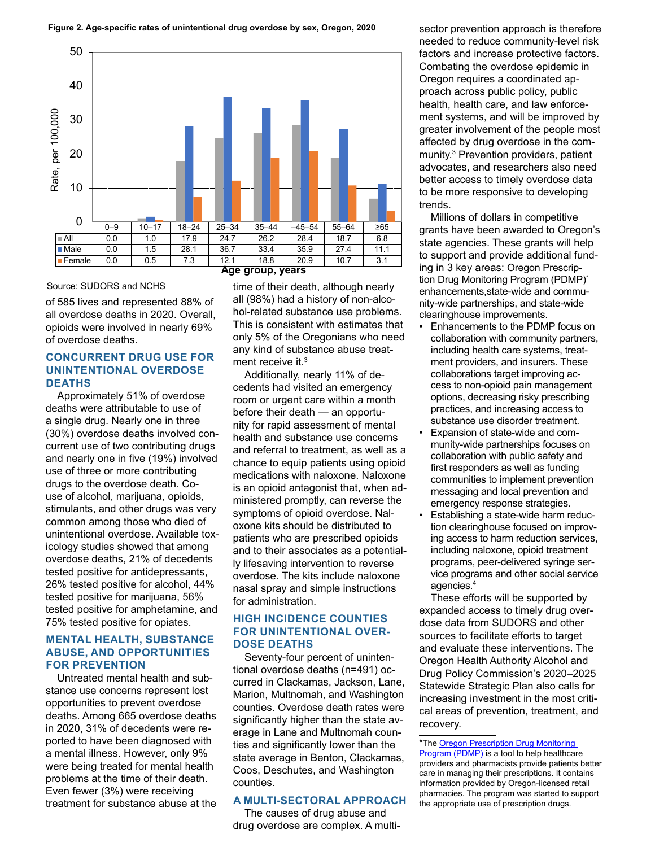

#### Source: SUDORS and NCHS

of 585 lives and represented 88% of all overdose deaths in 2020. Overall, opioids were involved in nearly 69% of overdose deaths.

# **CONCURRENT DRUG USE FOR UNINTENTIONAL OVERDOSE DEATHS**

Approximately 51% of overdose deaths were attributable to use of a single drug. Nearly one in three (30%) overdose deaths involved concurrent use of two contributing drugs and nearly one in five (19%) involved use of three or more contributing drugs to the overdose death. Couse of alcohol, marijuana, opioids, stimulants, and other drugs was very common among those who died of unintentional overdose. Available toxicology studies showed that among overdose deaths, 21% of decedents tested positive for antidepressants, 26% tested positive for alcohol, 44% tested positive for marijuana, 56% tested positive for amphetamine, and 75% tested positive for opiates.

## **MENTAL HEALTH, SUBSTANCE ABUSE, AND OPPORTUNITIES FOR PREVENTION**

Untreated mental health and substance use concerns represent lost opportunities to prevent overdose deaths. Among 665 overdose deaths in 2020, 31% of decedents were reported to have been diagnosed with a mental illness. However, only 9% were being treated for mental health problems at the time of their death. Even fewer (3%) were receiving treatment for substance abuse at the

## **Age group, years**

time of their death, although nearly all (98%) had a history of non-alcohol-related substance use problems. This is consistent with estimates that only 5% of the Oregonians who need any kind of substance abuse treatment receive it.<sup>3</sup>

Additionally, nearly 11% of decedents had visited an emergency room or urgent care within a month before their death — an opportunity for rapid assessment of mental health and substance use concerns and referral to treatment, as well as a chance to equip patients using opioid medications with naloxone. Naloxone is an opioid antagonist that, when administered promptly, can reverse the symptoms of opioid overdose. Naloxone kits should be distributed to patients who are prescribed opioids and to their associates as a potentially lifesaving intervention to reverse overdose. The kits include naloxone nasal spray and simple instructions for administration.

# **HIGH INCIDENCE COUNTIES FOR UNINTENTIONAL OVER-DOSE DEATHS**

Seventy-four percent of unintentional overdose deaths (n=491) occurred in Clackamas, Jackson, Lane, Marion, Multnomah, and Washington counties. Overdose death rates were significantly higher than the state average in Lane and Multnomah counties and significantly lower than the state average in Benton, Clackamas, Coos, Deschutes, and Washington counties.

#### **A MULTI-SECTORAL APPROACH**

The causes of drug abuse and drug overdose are complex. A multisector prevention approach is therefore needed to reduce community-level risk factors and increase protective factors. Combating the overdose epidemic in Oregon requires a coordinated approach across public policy, public health, health care, and law enforcement systems, and will be improved by greater involvement of the people most affected by drug overdose in the community.3 Prevention providers, patient advocates, and researchers also need better access to timely overdose data to be more responsive to developing trends.

Millions of dollars in competitive grants have been awarded to Oregon's state agencies. These grants will help to support and provide additional funding in 3 key areas: Oregon Prescription Drug Monitoring Program (PDMP)\* enhancements,state-wide and community-wide partnerships, and state-wide clearinghouse improvements.

- Enhancements to the PDMP focus on collaboration with community partners, including health care systems, treatment providers, and insurers. These collaborations target improving access to non-opioid pain management options, decreasing risky prescribing practices, and increasing access to substance use disorder treatment.
- Expansion of state-wide and community-wide partnerships focuses on collaboration with public safety and first responders as well as funding communities to implement prevention messaging and local prevention and emergency response strategies.
- Establishing a state-wide harm reduction clearinghouse focused on improving access to harm reduction services, including naloxone, opioid treatment programs, peer-delivered syringe service programs and other social service agencies.4

These efforts will be supported by expanded access to timely drug overdose data from SUDORS and other sources to facilitate efforts to target and evaluate these interventions. The Oregon Health Authority Alcohol and Drug Policy Commission's 2020–2025 Statewide Strategic Plan also calls for increasing investment in the most critical areas of prevention, treatment, and recovery.

\*The [Oregon Prescription Drug Monitoring](https://www.oregon.gov/oha/PH/PREVENTIONWELLNESS/SAFELIVING/PDMP/Pages/index.aspx)  [Program \(PDMP\)](https://www.oregon.gov/oha/PH/PREVENTIONWELLNESS/SAFELIVING/PDMP/Pages/index.aspx) is a tool to help healthcare providers and pharmacists provide patients better care in managing their prescriptions. It contains information provided by Oregon-licensed retail pharmacies. The program was started to support the appropriate use of prescription drugs.